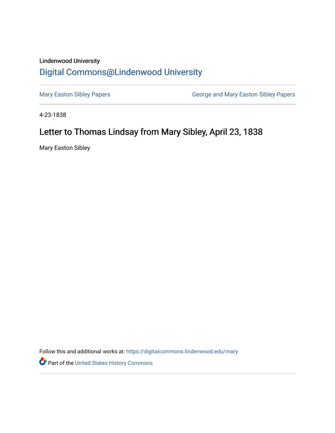## Lindenwood University [Digital Commons@Lindenwood University](https://digitalcommons.lindenwood.edu/)

[Mary Easton Sibley Papers](https://digitalcommons.lindenwood.edu/mary) **George and Mary Easton Sibley Papers** George and Mary Easton Sibley Papers

4-23-1838

## Letter to Thomas Lindsay from Mary Sibley, April 23, 1838

Mary Easton Sibley

Follow this and additional works at: [https://digitalcommons.lindenwood.edu/mary](https://digitalcommons.lindenwood.edu/mary?utm_source=digitalcommons.lindenwood.edu%2Fmary%2F25&utm_medium=PDF&utm_campaign=PDFCoverPages) 

Part of the [United States History Commons](https://network.bepress.com/hgg/discipline/495?utm_source=digitalcommons.lindenwood.edu%2Fmary%2F25&utm_medium=PDF&utm_campaign=PDFCoverPages)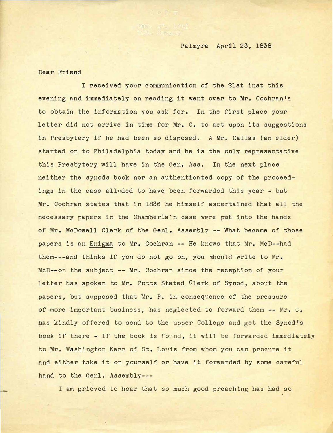Palmyra Apr11 23, 1838

Dear Friend

I **received** your communication of the 21st inst this evening and immediately on reading it went over to Mr. Cochran's to obtain the information you ask for. In the first place your letter did not arrive in time for Mr. C. to act upon its suggestions in Presbytery if he had been so disposed. A Mr. Dallas (an elder) started on to Philadelphia today and he is the only representative this Presbytery will have in the Gen. Ass. In the next place neither the synods book nor an authenticated copy of the proceedings in the case all11ded to have been forwarded this year - but Mr. Cochran states that in 1836 he himself ascertained that all the necessary papers in the Chamberla n case were put into the hands of Mr. McDowell Clerk of the Genl. Assembly -- What became of those papers is an Enigma to Mr. Cochran -- He knows that Mr. McD--had them---and thinks if you do not go on, you should write to Mr. McD--on the subject -- Mr. Cochran since the reception of your letter has spoken to Mr. Potts Stated Clerk of Synod, about the papers, but supposed that Mr. P. in consequence of the pressure of more important business, has neglected to forward them -- Mr. c. has kindly offered to send to the upper College and get the Synod's book if there - If the book is found, it will be forwarded immediately to Mr. Washington Kerr of St. Louis from whom you can procure it and either take it on yourself or have it forwarded by some careful hand to the Genl. Assembly---

I am grieved to hear that so much good preaching has had so